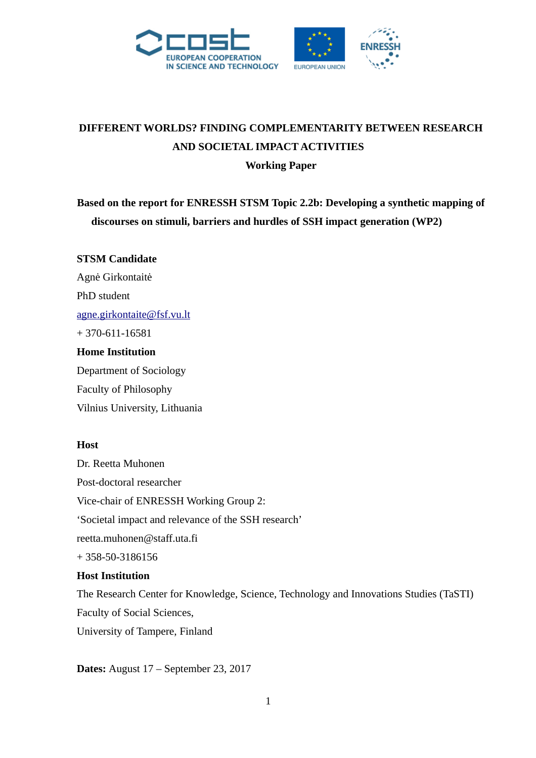



# **DIFFERENT WORLDS? FINDING COMPLEMENTARITY BETWEEN RESEARCH AND SOCIETAL IMPACT ACTIVITIES Working Paper**

**Based on the report for ENRESSH STSM Topic 2.2b: Developing a synthetic mapping of discourses on stimuli, barriers and hurdles of SSH impact generation (WP2)** 

**STSM Candidate** Agnė Girkontaitė PhD student [agne.girkontaite@fsf.vu.lt](mailto:agne.girkontaite@fsf.vu.lt) + 370-611-16581 **Home Institution** Department of Sociology Faculty of Philosophy

Vilnius University, Lithuania

#### **Host**

Dr. Reetta Muhonen Post-doctoral researcher Vice-chair of ENRESSH Working Group 2: 'Societal impact and relevance of the SSH research' reetta.muhonen@staff.uta.fi + 358-50-3186156

## **Host Institution**

The Research Center for Knowledge, Science, Technology and Innovations Studies (TaSTI) Faculty of Social Sciences,

University of Tampere, Finland

**Dates:** August 17 – September 23, 2017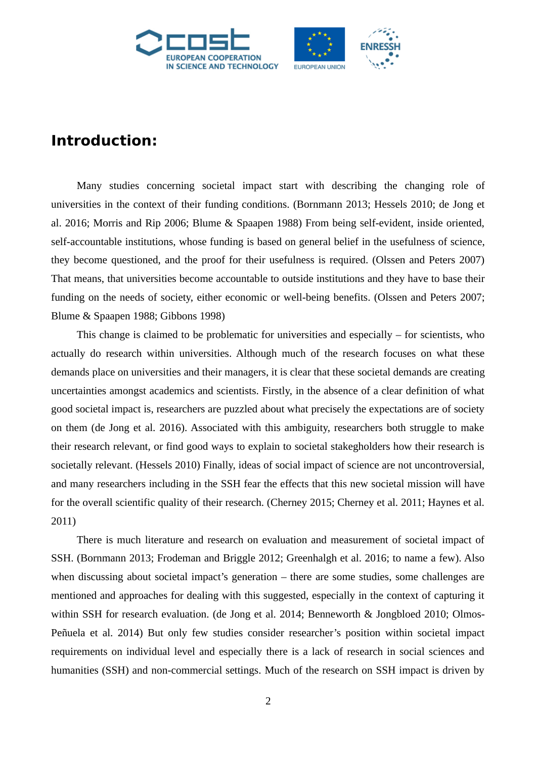

# **Introduction:**

Many studies concerning societal impact start with describing the changing role of universities in the context of their funding conditions. (Bornmann 2013; Hessels 2010; de Jong et al. 2016; Morris and Rip 2006; Blume & Spaapen 1988) From being self-evident, inside oriented, self-accountable institutions, whose funding is based on general belief in the usefulness of science, they become questioned, and the proof for their usefulness is required. (Olssen and Peters 2007) That means, that universities become accountable to outside institutions and they have to base their funding on the needs of society, either economic or well-being benefits. (Olssen and Peters 2007; Blume & Spaapen 1988; Gibbons 1998)

This change is claimed to be problematic for universities and especially  $-$  for scientists, who actually do research within universities. Although much of the research focuses on what these demands place on universities and their managers, it is clear that these societal demands are creating uncertainties amongst academics and scientists. Firstly, in the absence of a clear definition of what good societal impact is, researchers are puzzled about what precisely the expectations are of society on them (de Jong et al. 2016). Associated with this ambiguity, researchers both struggle to make their research relevant, or find good ways to explain to societal stakegholders how their research is societally relevant. (Hessels 2010) Finally, ideas of social impact of science are not uncontroversial, and many researchers including in the SSH fear the effects that this new societal mission will have for the overall scientific quality of their research. (Cherney 2015; Cherney et al. 2011; Haynes et al. 2011)

There is much literature and research on evaluation and measurement of societal impact of SSH. (Bornmann 2013; Frodeman and Briggle 2012; Greenhalgh et al. 2016; to name a few). Also when discussing about societal impact's generation – there are some studies, some challenges are mentioned and approaches for dealing with this suggested, especially in the context of capturing it within SSH for research evaluation. (de Jong et al. 2014; Benneworth & Jongbloed 2010; Olmos-Peñuela et al. 2014) But only few studies consider researcher's position within societal impact requirements on individual level and especially there is a lack of research in social sciences and humanities (SSH) and non-commercial settings. Much of the research on SSH impact is driven by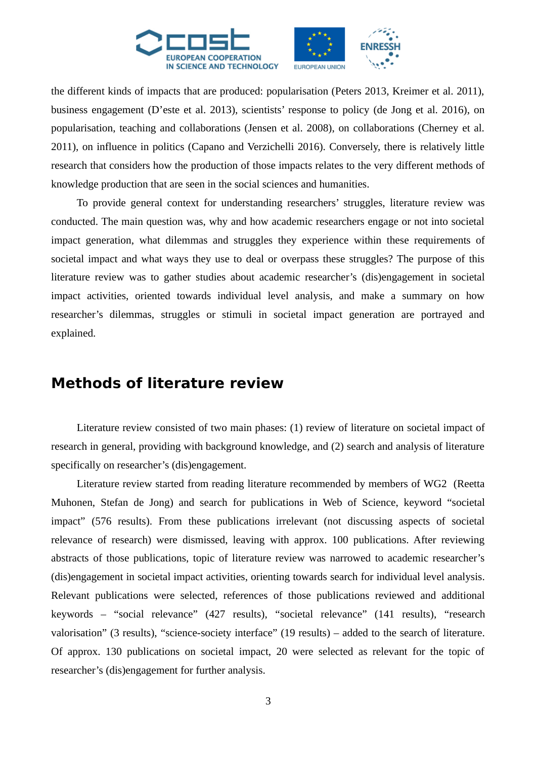

the different kinds of impacts that are produced: popularisation (Peters 2013, Kreimer et al. 2011), business engagement (D'este et al. 2013), scientists' response to policy (de Jong et al. 2016), on popularisation, teaching and collaborations (Jensen et al. 2008), on collaborations (Cherney et al. 2011), on influence in politics (Capano and Verzichelli 2016). Conversely, there is relatively little research that considers how the production of those impacts relates to the very different methods of knowledge production that are seen in the social sciences and humanities.

To provide general context for understanding researchers' struggles, literature review was conducted. The main question was, why and how academic researchers engage or not into societal impact generation, what dilemmas and struggles they experience within these requirements of societal impact and what ways they use to deal or overpass these struggles? The purpose of this literature review was to gather studies about academic researcher's (dis)engagement in societal impact activities, oriented towards individual level analysis, and make a summary on how researcher's dilemmas, struggles or stimuli in societal impact generation are portrayed and explained.

# **Methods of literature review**

Literature review consisted of two main phases: (1) review of literature on societal impact of research in general, providing with background knowledge, and (2) search and analysis of literature specifically on researcher's (dis)engagement.

Literature review started from reading literature recommended by members of WG2 (Reetta Muhonen, Stefan de Jong) and search for publications in Web of Science, keyword "societal impact" (576 results). From these publications irrelevant (not discussing aspects of societal relevance of research) were dismissed, leaving with approx. 100 publications. After reviewing abstracts of those publications, topic of literature review was narrowed to academic researcher's (dis)engagement in societal impact activities, orienting towards search for individual level analysis. Relevant publications were selected, references of those publications reviewed and additional keywords – "social relevance" (427 results), "societal relevance" (141 results), "research valorisation" (3 results), "science-society interface" (19 results) – added to the search of literature. Of approx. 130 publications on societal impact, 20 were selected as relevant for the topic of researcher's (dis)engagement for further analysis.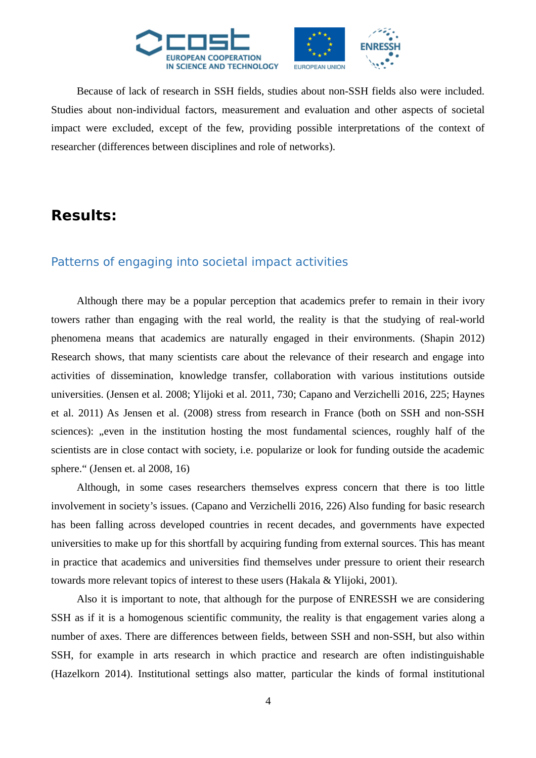

Because of lack of research in SSH fields, studies about non-SSH fields also were included. Studies about non-individual factors, measurement and evaluation and other aspects of societal impact were excluded, except of the few, providing possible interpretations of the context of researcher (differences between disciplines and role of networks).

# **Results:**

## Patterns of engaging into societal impact activities

Although there may be a popular perception that academics prefer to remain in their ivory towers rather than engaging with the real world, the reality is that the studying of real-world phenomena means that academics are naturally engaged in their environments. (Shapin 2012) Research shows, that many scientists care about the relevance of their research and engage into activities of dissemination, knowledge transfer, collaboration with various institutions outside universities. (Jensen et al. 2008; Ylijoki et al. 2011, 730; Capano and Verzichelli 2016, 225; Haynes et al. 2011) As Jensen et al. (2008) stress from research in France (both on SSH and non-SSH sciences): "even in the institution hosting the most fundamental sciences, roughly half of the scientists are in close contact with society, i.e. popularize or look for funding outside the academic sphere." (Jensen et. al 2008, 16)

Although, in some cases researchers themselves express concern that there is too little involvement in society's issues. (Capano and Verzichelli 2016, 226) Also funding for basic research has been falling across developed countries in recent decades, and governments have expected universities to make up for this shortfall by acquiring funding from external sources. This has meant in practice that academics and universities find themselves under pressure to orient their research towards more relevant topics of interest to these users (Hakala & Ylijoki, 2001).

Also it is important to note, that although for the purpose of ENRESSH we are considering SSH as if it is a homogenous scientific community, the reality is that engagement varies along a number of axes. There are differences between fields, between SSH and non-SSH, but also within SSH, for example in arts research in which practice and research are often indistinguishable (Hazelkorn 2014). Institutional settings also matter, particular the kinds of formal institutional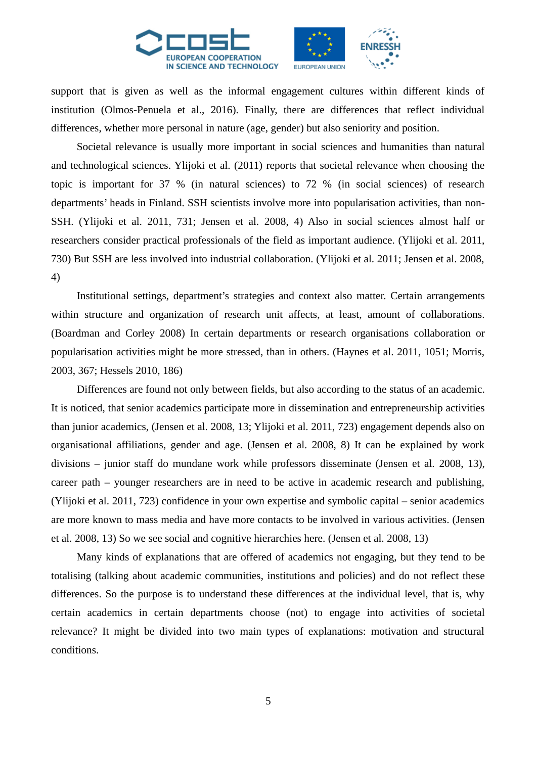

support that is given as well as the informal engagement cultures within different kinds of institution (Olmos-Penuela et al., 2016). Finally, there are differences that reflect individual differences, whether more personal in nature (age, gender) but also seniority and position.

Societal relevance is usually more important in social sciences and humanities than natural and technological sciences. Ylijoki et al. (2011) reports that societal relevance when choosing the topic is important for 37 % (in natural sciences) to 72 % (in social sciences) of research departments' heads in Finland. SSH scientists involve more into popularisation activities, than non-SSH. (Ylijoki et al. 2011, 731; Jensen et al. 2008, 4) Also in social sciences almost half or researchers consider practical professionals of the field as important audience. (Ylijoki et al. 2011, 730) But SSH are less involved into industrial collaboration. (Ylijoki et al. 2011; Jensen et al. 2008, 4)

Institutional settings, department's strategies and context also matter. Certain arrangements within structure and organization of research unit affects, at least, amount of collaborations. (Boardman and Corley 2008) In certain departments or research organisations collaboration or popularisation activities might be more stressed, than in others. (Haynes et al. 2011, 1051; Morris, 2003, 367; Hessels 2010, 186)

Differences are found not only between fields, but also according to the status of an academic. It is noticed, that senior academics participate more in dissemination and entrepreneurship activities than junior academics, (Jensen et al. 2008, 13; Ylijoki et al. 2011, 723) engagement depends also on organisational affiliations, gender and age. (Jensen et al. 2008, 8) It can be explained by work divisions – junior staff do mundane work while professors disseminate (Jensen et al. 2008, 13), career path – younger researchers are in need to be active in academic research and publishing, (Ylijoki et al. 2011, 723) confidence in your own expertise and symbolic capital – senior academics are more known to mass media and have more contacts to be involved in various activities. (Jensen et al. 2008, 13) So we see social and cognitive hierarchies here. (Jensen et al. 2008, 13)

Many kinds of explanations that are offered of academics not engaging, but they tend to be totalising (talking about academic communities, institutions and policies) and do not reflect these differences. So the purpose is to understand these differences at the individual level, that is, why certain academics in certain departments choose (not) to engage into activities of societal relevance? It might be divided into two main types of explanations: motivation and structural conditions.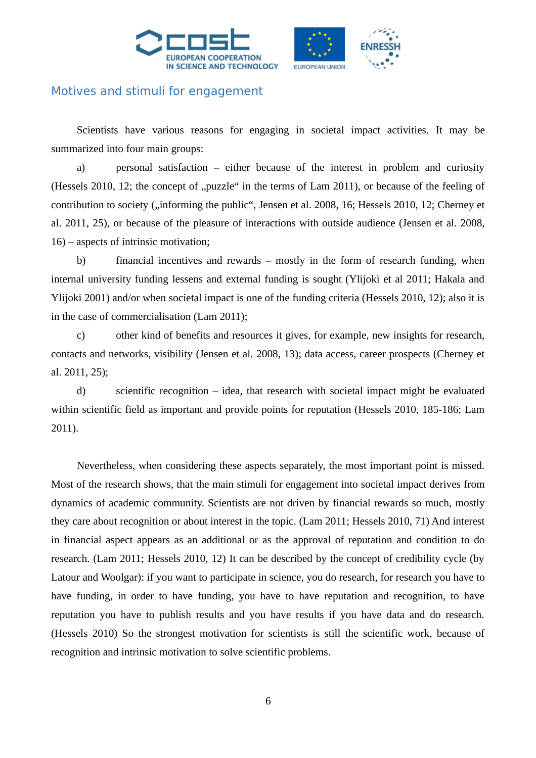



## Motives and stimuli for engagement

Scientists have various reasons for engaging in societal impact activities. It may be summarized into four main groups:

a) personal satisfaction – either because of the interest in problem and curiosity (Hessels 2010, 12; the concept of "puzzle" in the terms of Lam 2011), or because of the feeling of contribution to society ("informing the public", Jensen et al. 2008, 16; Hessels 2010, 12; Cherney et al. 2011, 25), or because of the pleasure of interactions with outside audience (Jensen et al. 2008, 16) – aspects of intrinsic motivation;

b) financial incentives and rewards – mostly in the form of research funding, when internal university funding lessens and external funding is sought (Ylijoki et al 2011; Hakala and Ylijoki 2001) and/or when societal impact is one of the funding criteria (Hessels 2010, 12); also it is in the case of commercialisation (Lam 2011);

c) other kind of benefits and resources it gives, for example, new insights for research, contacts and networks, visibility (Jensen et al. 2008, 13); data access, career prospects (Cherney et al. 2011, 25);

d) scientific recognition – idea, that research with societal impact might be evaluated within scientific field as important and provide points for reputation (Hessels 2010, 185-186; Lam 2011).

Nevertheless, when considering these aspects separately, the most important point is missed. Most of the research shows, that the main stimuli for engagement into societal impact derives from dynamics of academic community. Scientists are not driven by financial rewards so much, mostly they care about recognition or about interest in the topic. (Lam 2011; Hessels 2010, 71) And interest in financial aspect appears as an additional or as the approval of reputation and condition to do research. (Lam 2011; Hessels 2010, 12) It can be described by the concept of credibility cycle (by Latour and Woolgar): if you want to participate in science, you do research, for research you have to have funding, in order to have funding, you have to have reputation and recognition, to have reputation you have to publish results and you have results if you have data and do research. (Hessels 2010) So the strongest motivation for scientists is still the scientific work, because of recognition and intrinsic motivation to solve scientific problems.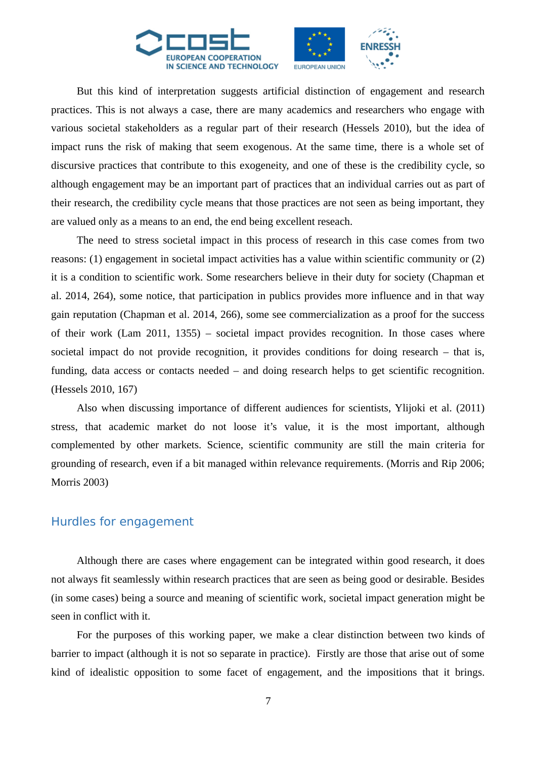

But this kind of interpretation suggests artificial distinction of engagement and research practices. This is not always a case, there are many academics and researchers who engage with various societal stakeholders as a regular part of their research (Hessels 2010), but the idea of impact runs the risk of making that seem exogenous. At the same time, there is a whole set of discursive practices that contribute to this exogeneity, and one of these is the credibility cycle, so although engagement may be an important part of practices that an individual carries out as part of their research, the credibility cycle means that those practices are not seen as being important, they are valued only as a means to an end, the end being excellent reseach.

The need to stress societal impact in this process of research in this case comes from two reasons: (1) engagement in societal impact activities has a value within scientific community or (2) it is a condition to scientific work. Some researchers believe in their duty for society (Chapman et al. 2014, 264), some notice, that participation in publics provides more influence and in that way gain reputation (Chapman et al. 2014, 266), some see commercialization as a proof for the success of their work (Lam 2011, 1355) – societal impact provides recognition. In those cases where societal impact do not provide recognition, it provides conditions for doing research – that is, funding, data access or contacts needed – and doing research helps to get scientific recognition. (Hessels 2010, 167)

Also when discussing importance of different audiences for scientists, Ylijoki et al. (2011) stress, that academic market do not loose it's value, it is the most important, although complemented by other markets. Science, scientific community are still the main criteria for grounding of research, even if a bit managed within relevance requirements. (Morris and Rip 2006; Morris 2003)

#### Hurdles for engagement

Although there are cases where engagement can be integrated within good research, it does not always fit seamlessly within research practices that are seen as being good or desirable. Besides (in some cases) being a source and meaning of scientific work, societal impact generation might be seen in conflict with it.

For the purposes of this working paper, we make a clear distinction between two kinds of barrier to impact (although it is not so separate in practice). Firstly are those that arise out of some kind of idealistic opposition to some facet of engagement, and the impositions that it brings.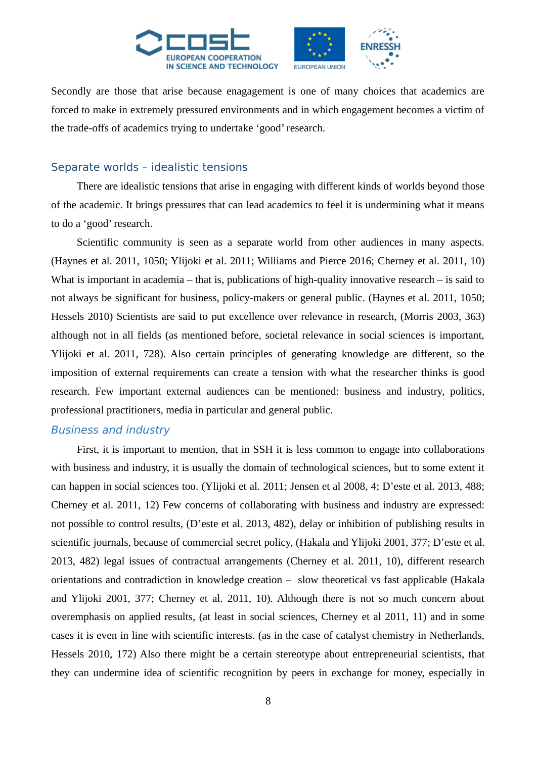

Secondly are those that arise because enagagement is one of many choices that academics are forced to make in extremely pressured environments and in which engagement becomes a victim of the trade-offs of academics trying to undertake 'good' research.

#### Separate worlds – idealistic tensions

There are idealistic tensions that arise in engaging with different kinds of worlds beyond those of the academic. It brings pressures that can lead academics to feel it is undermining what it means to do a 'good' research.

Scientific community is seen as a separate world from other audiences in many aspects. (Haynes et al. 2011, 1050; Ylijoki et al. 2011; Williams and Pierce 2016; Cherney et al. 2011, 10) What is important in academia – that is, publications of high-quality innovative research – is said to not always be significant for business, policy-makers or general public. (Haynes et al. 2011, 1050; Hessels 2010) Scientists are said to put excellence over relevance in research, (Morris 2003, 363) although not in all fields (as mentioned before, societal relevance in social sciences is important, Ylijoki et al. 2011, 728). Also certain principles of generating knowledge are different, so the imposition of external requirements can create a tension with what the researcher thinks is good research. Few important external audiences can be mentioned: business and industry, politics, professional practitioners, media in particular and general public.

#### Business and industry

First, it is important to mention, that in SSH it is less common to engage into collaborations with business and industry, it is usually the domain of technological sciences, but to some extent it can happen in social sciences too. (Ylijoki et al. 2011; Jensen et al 2008, 4; D'este et al. 2013, 488; Cherney et al. 2011, 12) Few concerns of collaborating with business and industry are expressed: not possible to control results, (D'este et al. 2013, 482), delay or inhibition of publishing results in scientific journals, because of commercial secret policy, (Hakala and Ylijoki 2001, 377; D'este et al. 2013, 482) legal issues of contractual arrangements (Cherney et al. 2011, 10), different research orientations and contradiction in knowledge creation – slow theoretical vs fast applicable (Hakala and Ylijoki 2001, 377; Cherney et al. 2011, 10). Although there is not so much concern about overemphasis on applied results, (at least in social sciences, Cherney et al 2011, 11) and in some cases it is even in line with scientific interests. (as in the case of catalyst chemistry in Netherlands, Hessels 2010, 172) Also there might be a certain stereotype about entrepreneurial scientists, that they can undermine idea of scientific recognition by peers in exchange for money, especially in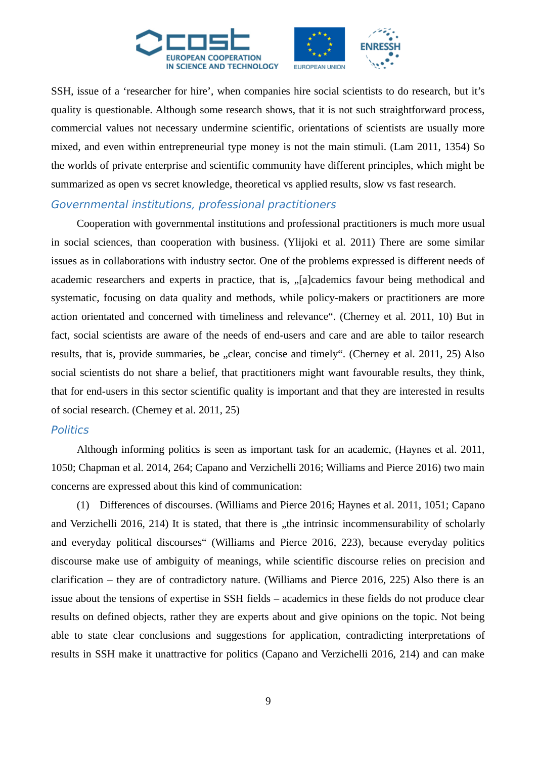

SSH, issue of a 'researcher for hire', when companies hire social scientists to do research, but it's quality is questionable. Although some research shows, that it is not such straightforward process, commercial values not necessary undermine scientific, orientations of scientists are usually more mixed, and even within entrepreneurial type money is not the main stimuli. (Lam 2011, 1354) So the worlds of private enterprise and scientific community have different principles, which might be summarized as open vs secret knowledge, theoretical vs applied results, slow vs fast research.

#### Governmental institutions, professional practitioners

Cooperation with governmental institutions and professional practitioners is much more usual in social sciences, than cooperation with business. (Ylijoki et al. 2011) There are some similar issues as in collaborations with industry sector. One of the problems expressed is different needs of academic researchers and experts in practice, that is, "[a]cademics favour being methodical and systematic, focusing on data quality and methods, while policy-makers or practitioners are more action orientated and concerned with timeliness and relevance". (Cherney et al. 2011, 10) But in fact, social scientists are aware of the needs of end-users and care and are able to tailor research results, that is, provide summaries, be "clear, concise and timely". (Cherney et al. 2011, 25) Also social scientists do not share a belief, that practitioners might want favourable results, they think, that for end-users in this sector scientific quality is important and that they are interested in results of social research. (Cherney et al. 2011, 25)

#### **Politics**

Although informing politics is seen as important task for an academic, (Haynes et al. 2011, 1050; Chapman et al. 2014, 264; Capano and Verzichelli 2016; Williams and Pierce 2016) two main concerns are expressed about this kind of communication:

(1) Differences of discourses. (Williams and Pierce 2016; Haynes et al. 2011, 1051; Capano and Verzichelli 2016, 214) It is stated, that there is "the intrinsic incommensurability of scholarly and everyday political discourses" (Williams and Pierce 2016, 223), because everyday politics discourse make use of ambiguity of meanings, while scientific discourse relies on precision and clarification – they are of contradictory nature. (Williams and Pierce 2016, 225) Also there is an issue about the tensions of expertise in SSH fields – academics in these fields do not produce clear results on defined objects, rather they are experts about and give opinions on the topic. Not being able to state clear conclusions and suggestions for application, contradicting interpretations of results in SSH make it unattractive for politics (Capano and Verzichelli 2016, 214) and can make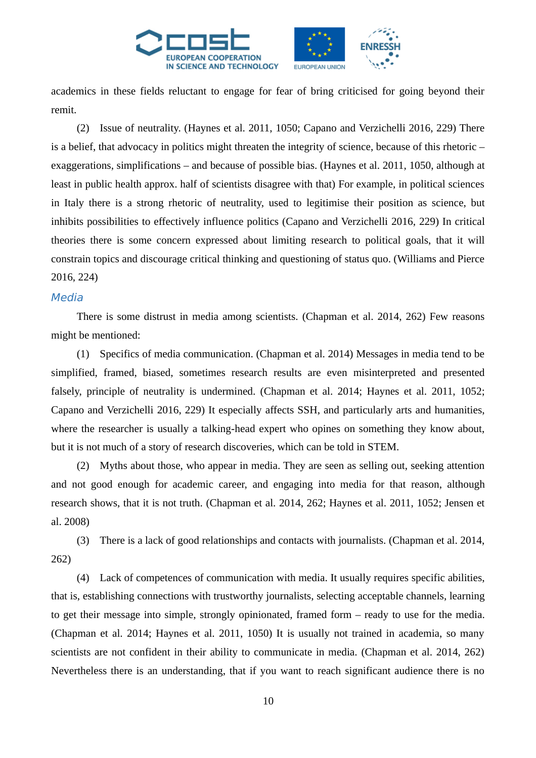

academics in these fields reluctant to engage for fear of bring criticised for going beyond their remit.

(2) Issue of neutrality. (Haynes et al. 2011, 1050; Capano and Verzichelli 2016, 229) There is a belief, that advocacy in politics might threaten the integrity of science, because of this rhetoric – exaggerations, simplifications – and because of possible bias. (Haynes et al. 2011, 1050, although at least in public health approx. half of scientists disagree with that) For example, in political sciences in Italy there is a strong rhetoric of neutrality, used to legitimise their position as science, but inhibits possibilities to effectively influence politics (Capano and Verzichelli 2016, 229) In critical theories there is some concern expressed about limiting research to political goals, that it will constrain topics and discourage critical thinking and questioning of status quo. (Williams and Pierce 2016, 224)

#### **Media**

There is some distrust in media among scientists. (Chapman et al. 2014, 262) Few reasons might be mentioned:

(1) Specifics of media communication. (Chapman et al. 2014) Messages in media tend to be simplified, framed, biased, sometimes research results are even misinterpreted and presented falsely, principle of neutrality is undermined. (Chapman et al. 2014; Haynes et al. 2011, 1052; Capano and Verzichelli 2016, 229) It especially affects SSH, and particularly arts and humanities, where the researcher is usually a talking-head expert who opines on something they know about, but it is not much of a story of research discoveries, which can be told in STEM.

(2) Myths about those, who appear in media. They are seen as selling out, seeking attention and not good enough for academic career, and engaging into media for that reason, although research shows, that it is not truth. (Chapman et al. 2014, 262; Haynes et al. 2011, 1052; Jensen et al. 2008)

(3) There is a lack of good relationships and contacts with journalists. (Chapman et al. 2014, 262)

(4) Lack of competences of communication with media. It usually requires specific abilities, that is, establishing connections with trustworthy journalists, selecting acceptable channels, learning to get their message into simple, strongly opinionated, framed form – ready to use for the media. (Chapman et al. 2014; Haynes et al. 2011, 1050) It is usually not trained in academia, so many scientists are not confident in their ability to communicate in media. (Chapman et al. 2014, 262) Nevertheless there is an understanding, that if you want to reach significant audience there is no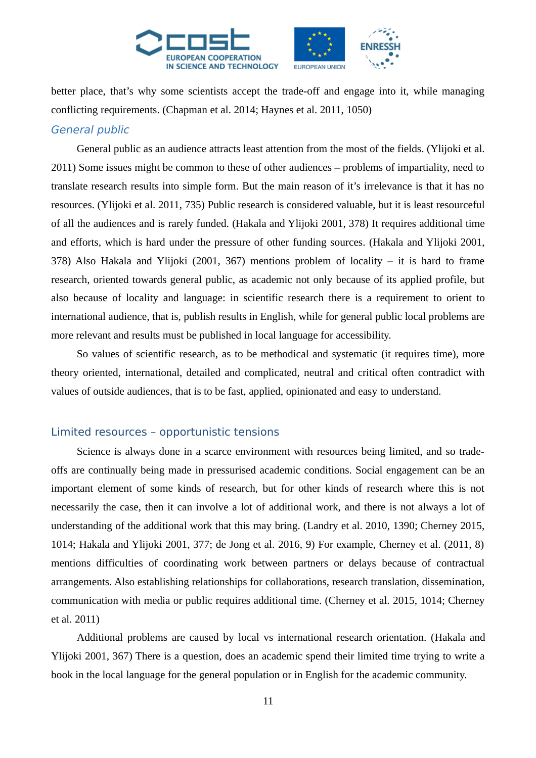

better place, that's why some scientists accept the trade-off and engage into it, while managing conflicting requirements. (Chapman et al. 2014; Haynes et al. 2011, 1050)

#### General public

General public as an audience attracts least attention from the most of the fields. (Ylijoki et al. 2011) Some issues might be common to these of other audiences – problems of impartiality, need to translate research results into simple form. But the main reason of it's irrelevance is that it has no resources. (Ylijoki et al. 2011, 735) Public research is considered valuable, but it is least resourceful of all the audiences and is rarely funded. (Hakala and Ylijoki 2001, 378) It requires additional time and efforts, which is hard under the pressure of other funding sources. (Hakala and Ylijoki 2001, 378) Also Hakala and Ylijoki (2001, 367) mentions problem of locality – it is hard to frame research, oriented towards general public, as academic not only because of its applied profile, but also because of locality and language: in scientific research there is a requirement to orient to international audience, that is, publish results in English, while for general public local problems are more relevant and results must be published in local language for accessibility.

So values of scientific research, as to be methodical and systematic (it requires time), more theory oriented, international, detailed and complicated, neutral and critical often contradict with values of outside audiences, that is to be fast, applied, opinionated and easy to understand.

#### Limited resources – opportunistic tensions

Science is always done in a scarce environment with resources being limited, and so tradeoffs are continually being made in pressurised academic conditions. Social engagement can be an important element of some kinds of research, but for other kinds of research where this is not necessarily the case, then it can involve a lot of additional work, and there is not always a lot of understanding of the additional work that this may bring. (Landry et al. 2010, 1390; Cherney 2015, 1014; Hakala and Ylijoki 2001, 377; de Jong et al. 2016, 9) For example, Cherney et al. (2011, 8) mentions difficulties of coordinating work between partners or delays because of contractual arrangements. Also establishing relationships for collaborations, research translation, dissemination, communication with media or public requires additional time. (Cherney et al. 2015, 1014; Cherney et al. 2011)

Additional problems are caused by local vs international research orientation. (Hakala and Ylijoki 2001, 367) There is a question, does an academic spend their limited time trying to write a book in the local language for the general population or in English for the academic community.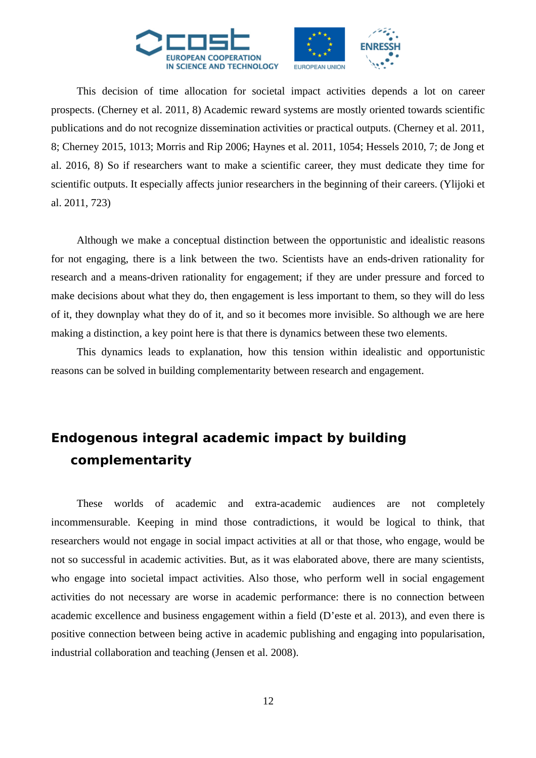

This decision of time allocation for societal impact activities depends a lot on career prospects. (Cherney et al. 2011, 8) Academic reward systems are mostly oriented towards scientific publications and do not recognize dissemination activities or practical outputs. (Cherney et al. 2011, 8; Cherney 2015, 1013; Morris and Rip 2006; Haynes et al. 2011, 1054; Hessels 2010, 7; de Jong et al. 2016, 8) So if researchers want to make a scientific career, they must dedicate they time for scientific outputs. It especially affects junior researchers in the beginning of their careers. (Ylijoki et al. 2011, 723)

Although we make a conceptual distinction between the opportunistic and idealistic reasons for not engaging, there is a link between the two. Scientists have an ends-driven rationality for research and a means-driven rationality for engagement; if they are under pressure and forced to make decisions about what they do, then engagement is less important to them, so they will do less of it, they downplay what they do of it, and so it becomes more invisible. So although we are here making a distinction, a key point here is that there is dynamics between these two elements.

This dynamics leads to explanation, how this tension within idealistic and opportunistic reasons can be solved in building complementarity between research and engagement.

# **Endogenous integral academic impact by building complementarity**

These worlds of academic and extra-academic audiences are not completely incommensurable. Keeping in mind those contradictions, it would be logical to think, that researchers would not engage in social impact activities at all or that those, who engage, would be not so successful in academic activities. But, as it was elaborated above, there are many scientists, who engage into societal impact activities. Also those, who perform well in social engagement activities do not necessary are worse in academic performance: there is no connection between academic excellence and business engagement within a field (D'este et al. 2013), and even there is positive connection between being active in academic publishing and engaging into popularisation, industrial collaboration and teaching (Jensen et al. 2008).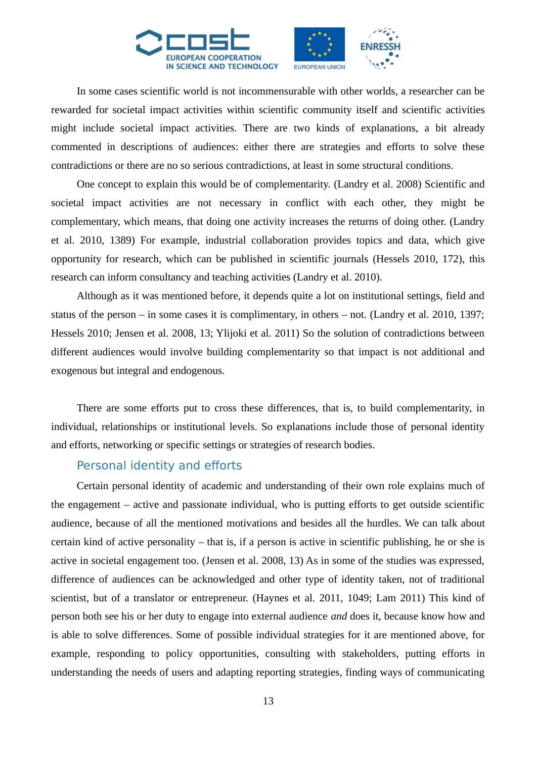

In some cases scientific world is not incommensurable with other worlds, a researcher can be rewarded for societal impact activities within scientific community itself and scientific activities might include societal impact activities. There are two kinds of explanations, a bit already commented in descriptions of audiences: either there are strategies and efforts to solve these contradictions or there are no so serious contradictions, at least in some structural conditions.

One concept to explain this would be of complementarity. (Landry et al. 2008) Scientific and societal impact activities are not necessary in conflict with each other, they might be complementary, which means, that doing one activity increases the returns of doing other. (Landry et al. 2010, 1389) For example, industrial collaboration provides topics and data, which give opportunity for research, which can be published in scientific journals (Hessels 2010, 172), this research can inform consultancy and teaching activities (Landry et al. 2010).

Although as it was mentioned before, it depends quite a lot on institutional settings, field and status of the person – in some cases it is complimentary, in others – not. (Landry et al. 2010, 1397; Hessels 2010; Jensen et al. 2008, 13; Ylijoki et al. 2011) So the solution of contradictions between different audiences would involve building complementarity so that impact is not additional and exogenous but integral and endogenous.

There are some efforts put to cross these differences, that is, to build complementarity, in individual, relationships or institutional levels. So explanations include those of personal identity and efforts, networking or specific settings or strategies of research bodies.

#### Personal identity and efforts

Certain personal identity of academic and understanding of their own role explains much of the engagement – active and passionate individual, who is putting efforts to get outside scientific audience, because of all the mentioned motivations and besides all the hurdles. We can talk about certain kind of active personality – that is, if a person is active in scientific publishing, he or she is active in societal engagement too. (Jensen et al. 2008, 13) As in some of the studies was expressed, difference of audiences can be acknowledged and other type of identity taken, not of traditional scientist, but of a translator or entrepreneur. (Haynes et al. 2011, 1049; Lam 2011) This kind of person both see his or her duty to engage into external audience *and* does it, because know how and is able to solve differences. Some of possible individual strategies for it are mentioned above, for example, responding to policy opportunities, consulting with stakeholders, putting efforts in understanding the needs of users and adapting reporting strategies, finding ways of communicating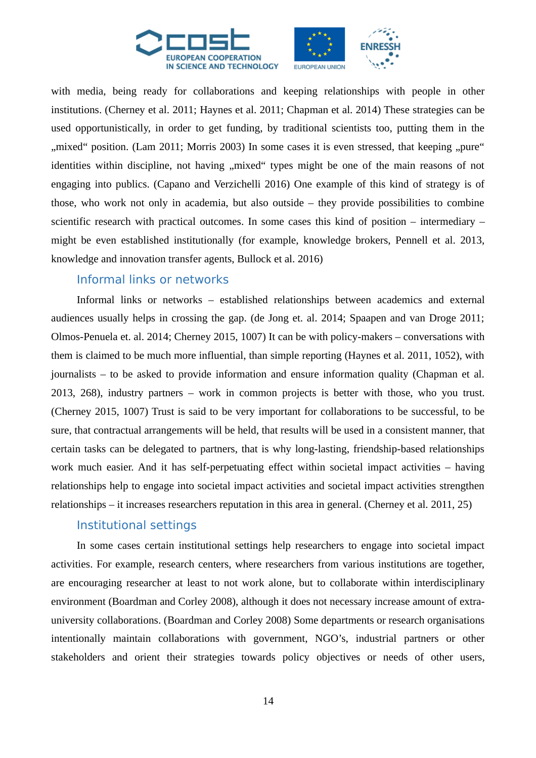

with media, being ready for collaborations and keeping relationships with people in other institutions. (Cherney et al. 2011; Haynes et al. 2011; Chapman et al. 2014) These strategies can be used opportunistically, in order to get funding, by traditional scientists too, putting them in the ", mixed" position. (Lam 2011; Morris 2003) In some cases it is even stressed, that keeping "pure" identities within discipline, not having "mixed" types might be one of the main reasons of not engaging into publics. (Capano and Verzichelli 2016) One example of this kind of strategy is of those, who work not only in academia, but also outside – they provide possibilities to combine scientific research with practical outcomes. In some cases this kind of position – intermediary – might be even established institutionally (for example, knowledge brokers, Pennell et al. 2013, knowledge and innovation transfer agents, Bullock et al. 2016)

#### Informal links or networks

Informal links or networks – established relationships between academics and external audiences usually helps in crossing the gap. (de Jong et. al. 2014; Spaapen and van Droge 2011; Olmos-Penuela et. al. 2014; Cherney 2015, 1007) It can be with policy-makers – conversations with them is claimed to be much more influential, than simple reporting (Haynes et al. 2011, 1052), with journalists – to be asked to provide information and ensure information quality (Chapman et al. 2013, 268), industry partners – work in common projects is better with those, who you trust. (Cherney 2015, 1007) Trust is said to be very important for collaborations to be successful, to be sure, that contractual arrangements will be held, that results will be used in a consistent manner, that certain tasks can be delegated to partners, that is why long-lasting, friendship-based relationships work much easier. And it has self-perpetuating effect within societal impact activities – having relationships help to engage into societal impact activities and societal impact activities strengthen relationships – it increases researchers reputation in this area in general. (Cherney et al. 2011, 25)

### Institutional settings

In some cases certain institutional settings help researchers to engage into societal impact activities. For example, research centers, where researchers from various institutions are together, are encouraging researcher at least to not work alone, but to collaborate within interdisciplinary environment (Boardman and Corley 2008), although it does not necessary increase amount of extrauniversity collaborations. (Boardman and Corley 2008) Some departments or research organisations intentionally maintain collaborations with government, NGO's, industrial partners or other stakeholders and orient their strategies towards policy objectives or needs of other users,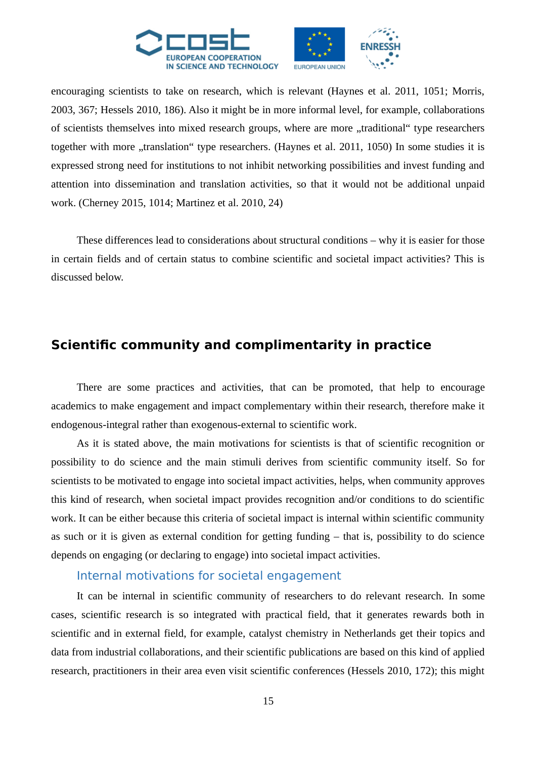

encouraging scientists to take on research, which is relevant (Haynes et al. 2011, 1051; Morris, 2003, 367; Hessels 2010, 186). Also it might be in more informal level, for example, collaborations of scientists themselves into mixed research groups, where are more "traditional" type researchers together with more "translation" type researchers. (Haynes et al. 2011, 1050) In some studies it is expressed strong need for institutions to not inhibit networking possibilities and invest funding and attention into dissemination and translation activities, so that it would not be additional unpaid work. (Cherney 2015, 1014; Martinez et al. 2010, 24)

These differences lead to considerations about structural conditions – why it is easier for those in certain fields and of certain status to combine scientific and societal impact activities? This is discussed below.

# **Scientific community and complimentarity in practice**

There are some practices and activities, that can be promoted, that help to encourage academics to make engagement and impact complementary within their research, therefore make it endogenous-integral rather than exogenous-external to scientific work.

As it is stated above, the main motivations for scientists is that of scientific recognition or possibility to do science and the main stimuli derives from scientific community itself. So for scientists to be motivated to engage into societal impact activities, helps, when community approves this kind of research, when societal impact provides recognition and/or conditions to do scientific work. It can be either because this criteria of societal impact is internal within scientific community as such or it is given as external condition for getting funding – that is, possibility to do science depends on engaging (or declaring to engage) into societal impact activities.

#### Internal motivations for societal engagement

It can be internal in scientific community of researchers to do relevant research. In some cases, scientific research is so integrated with practical field, that it generates rewards both in scientific and in external field, for example, catalyst chemistry in Netherlands get their topics and data from industrial collaborations, and their scientific publications are based on this kind of applied research, practitioners in their area even visit scientific conferences (Hessels 2010, 172); this might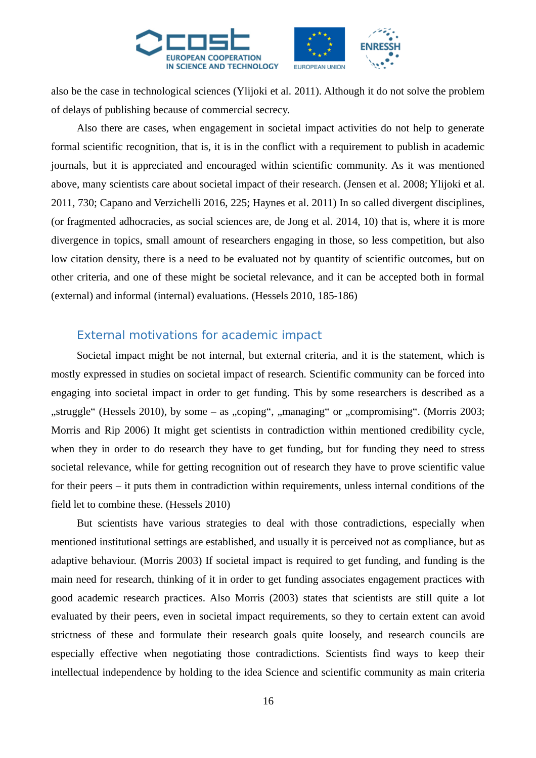

also be the case in technological sciences (Ylijoki et al. 2011). Although it do not solve the problem of delays of publishing because of commercial secrecy.

Also there are cases, when engagement in societal impact activities do not help to generate formal scientific recognition, that is, it is in the conflict with a requirement to publish in academic journals, but it is appreciated and encouraged within scientific community. As it was mentioned above, many scientists care about societal impact of their research. (Jensen et al. 2008; Ylijoki et al. 2011, 730; Capano and Verzichelli 2016, 225; Haynes et al. 2011) In so called divergent disciplines, (or fragmented adhocracies, as social sciences are, de Jong et al. 2014, 10) that is, where it is more divergence in topics, small amount of researchers engaging in those, so less competition, but also low citation density, there is a need to be evaluated not by quantity of scientific outcomes, but on other criteria, and one of these might be societal relevance, and it can be accepted both in formal (external) and informal (internal) evaluations. (Hessels 2010, 185-186)

## External motivations for academic impact

Societal impact might be not internal, but external criteria, and it is the statement, which is mostly expressed in studies on societal impact of research. Scientific community can be forced into engaging into societal impact in order to get funding. This by some researchers is described as a "struggle" (Hessels 2010), by some – as "coping", "managing" or "compromising". (Morris 2003; Morris and Rip 2006) It might get scientists in contradiction within mentioned credibility cycle, when they in order to do research they have to get funding, but for funding they need to stress societal relevance, while for getting recognition out of research they have to prove scientific value for their peers – it puts them in contradiction within requirements, unless internal conditions of the field let to combine these. (Hessels 2010)

But scientists have various strategies to deal with those contradictions, especially when mentioned institutional settings are established, and usually it is perceived not as compliance, but as adaptive behaviour. (Morris 2003) If societal impact is required to get funding, and funding is the main need for research, thinking of it in order to get funding associates engagement practices with good academic research practices. Also Morris (2003) states that scientists are still quite a lot evaluated by their peers, even in societal impact requirements, so they to certain extent can avoid strictness of these and formulate their research goals quite loosely, and research councils are especially effective when negotiating those contradictions. Scientists find ways to keep their intellectual independence by holding to the idea Science and scientific community as main criteria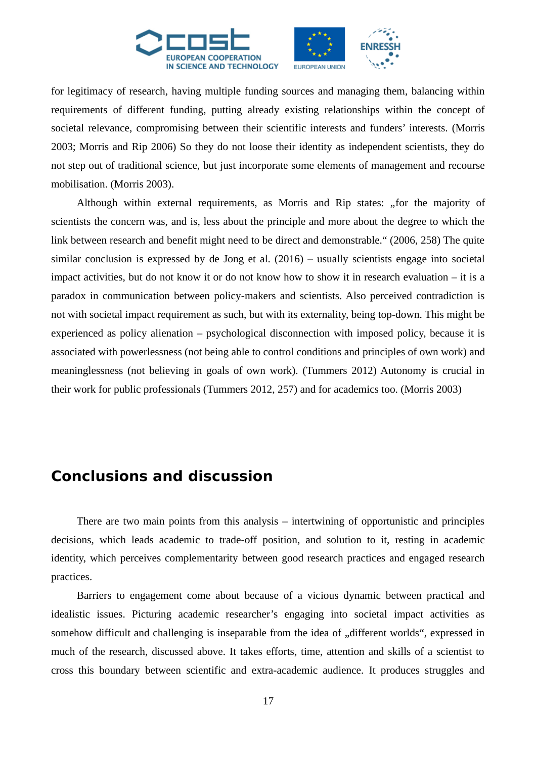



for legitimacy of research, having multiple funding sources and managing them, balancing within requirements of different funding, putting already existing relationships within the concept of societal relevance, compromising between their scientific interests and funders' interests. (Morris 2003; Morris and Rip 2006) So they do not loose their identity as independent scientists, they do not step out of traditional science, but just incorporate some elements of management and recourse mobilisation. (Morris 2003).

Although within external requirements, as Morris and Rip states: "for the majority of scientists the concern was, and is, less about the principle and more about the degree to which the link between research and benefit might need to be direct and demonstrable." (2006, 258) The quite similar conclusion is expressed by de Jong et al. (2016) – usually scientists engage into societal impact activities, but do not know it or do not know how to show it in research evaluation – it is a paradox in communication between policy-makers and scientists. Also perceived contradiction is not with societal impact requirement as such, but with its externality, being top-down. This might be experienced as policy alienation – psychological disconnection with imposed policy, because it is associated with powerlessness (not being able to control conditions and principles of own work) and meaninglessness (not believing in goals of own work). (Tummers 2012) Autonomy is crucial in their work for public professionals (Tummers 2012, 257) and for academics too. (Morris 2003)

# **Conclusions and discussion**

There are two main points from this analysis – intertwining of opportunistic and principles decisions, which leads academic to trade-off position, and solution to it, resting in academic identity, which perceives complementarity between good research practices and engaged research practices.

Barriers to engagement come about because of a vicious dynamic between practical and idealistic issues. Picturing academic researcher's engaging into societal impact activities as somehow difficult and challenging is inseparable from the idea of "different worlds", expressed in much of the research, discussed above. It takes efforts, time, attention and skills of a scientist to cross this boundary between scientific and extra-academic audience. It produces struggles and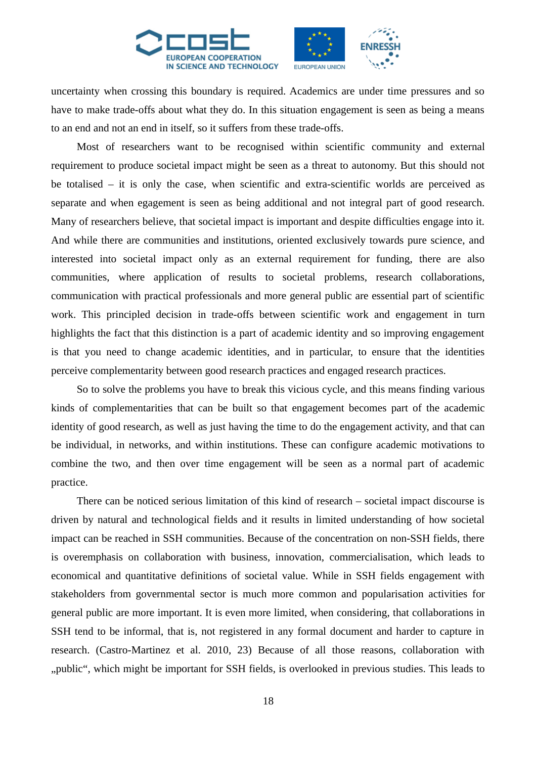

uncertainty when crossing this boundary is required. Academics are under time pressures and so have to make trade-offs about what they do. In this situation engagement is seen as being a means to an end and not an end in itself, so it suffers from these trade-offs.

Most of researchers want to be recognised within scientific community and external requirement to produce societal impact might be seen as a threat to autonomy. But this should not be totalised – it is only the case, when scientific and extra-scientific worlds are perceived as separate and when egagement is seen as being additional and not integral part of good research. Many of researchers believe, that societal impact is important and despite difficulties engage into it. And while there are communities and institutions, oriented exclusively towards pure science, and interested into societal impact only as an external requirement for funding, there are also communities, where application of results to societal problems, research collaborations, communication with practical professionals and more general public are essential part of scientific work. This principled decision in trade-offs between scientific work and engagement in turn highlights the fact that this distinction is a part of academic identity and so improving engagement is that you need to change academic identities, and in particular, to ensure that the identities perceive complementarity between good research practices and engaged research practices.

So to solve the problems you have to break this vicious cycle, and this means finding various kinds of complementarities that can be built so that engagement becomes part of the academic identity of good research, as well as just having the time to do the engagement activity, and that can be individual, in networks, and within institutions. These can configure academic motivations to combine the two, and then over time engagement will be seen as a normal part of academic practice.

There can be noticed serious limitation of this kind of research – societal impact discourse is driven by natural and technological fields and it results in limited understanding of how societal impact can be reached in SSH communities. Because of the concentration on non-SSH fields, there is overemphasis on collaboration with business, innovation, commercialisation, which leads to economical and quantitative definitions of societal value. While in SSH fields engagement with stakeholders from governmental sector is much more common and popularisation activities for general public are more important. It is even more limited, when considering, that collaborations in SSH tend to be informal, that is, not registered in any formal document and harder to capture in research. (Castro-Martinez et al. 2010, 23) Because of all those reasons, collaboration with "public", which might be important for SSH fields, is overlooked in previous studies. This leads to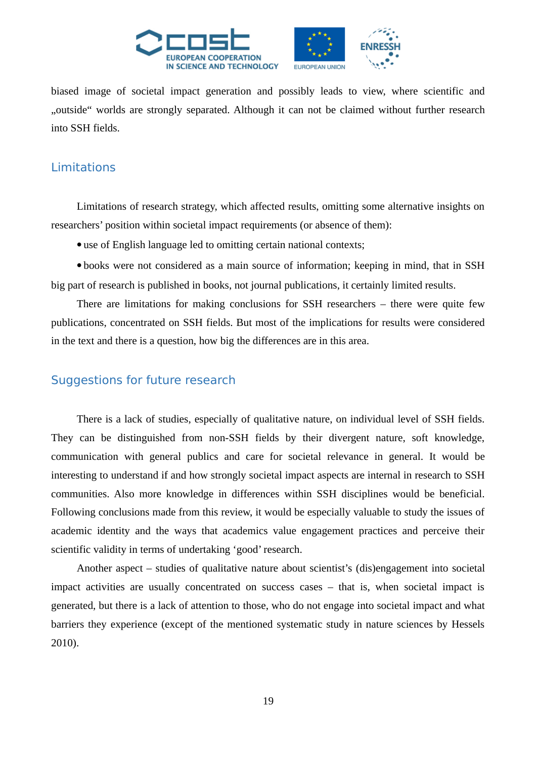

biased image of societal impact generation and possibly leads to view, where scientific and "outside" worlds are strongly separated. Although it can not be claimed without further research into SSH fields.

## Limitations

Limitations of research strategy, which affected results, omitting some alternative insights on researchers' position within societal impact requirements (or absence of them):

use of English language led to omitting certain national contexts;

 books were not considered as a main source of information; keeping in mind, that in SSH big part of research is published in books, not journal publications, it certainly limited results.

There are limitations for making conclusions for SSH researchers – there were quite few publications, concentrated on SSH fields. But most of the implications for results were considered in the text and there is a question, how big the differences are in this area.

# Suggestions for future research

There is a lack of studies, especially of qualitative nature, on individual level of SSH fields. They can be distinguished from non-SSH fields by their divergent nature, soft knowledge, communication with general publics and care for societal relevance in general. It would be interesting to understand if and how strongly societal impact aspects are internal in research to SSH communities. Also more knowledge in differences within SSH disciplines would be beneficial. Following conclusions made from this review, it would be especially valuable to study the issues of academic identity and the ways that academics value engagement practices and perceive their scientific validity in terms of undertaking 'good' research.

Another aspect – studies of qualitative nature about scientist's (dis)engagement into societal impact activities are usually concentrated on success cases – that is, when societal impact is generated, but there is a lack of attention to those, who do not engage into societal impact and what barriers they experience (except of the mentioned systematic study in nature sciences by Hessels 2010).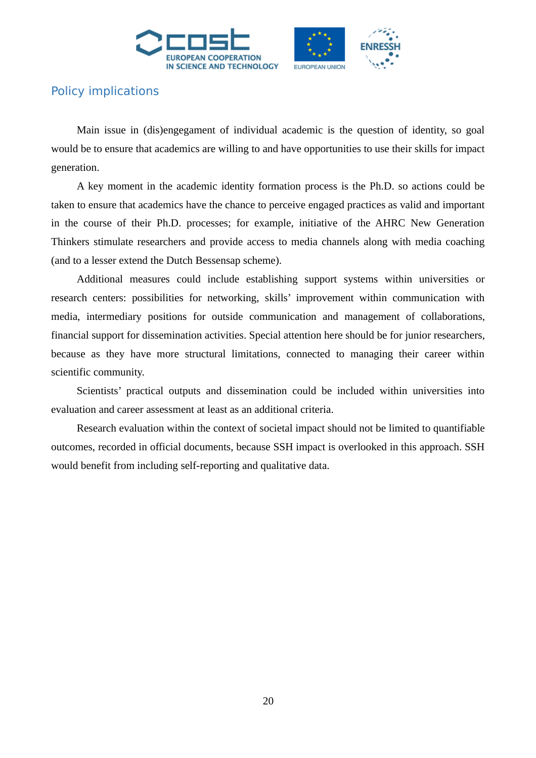



# Policy implications

Main issue in (dis)engegament of individual academic is the question of identity, so goal would be to ensure that academics are willing to and have opportunities to use their skills for impact generation.

A key moment in the academic identity formation process is the Ph.D. so actions could be taken to ensure that academics have the chance to perceive engaged practices as valid and important in the course of their Ph.D. processes; for example, initiative of the AHRC New Generation Thinkers stimulate researchers and provide access to media channels along with media coaching (and to a lesser extend the Dutch Bessensap scheme).

Additional measures could include establishing support systems within universities or research centers: possibilities for networking, skills' improvement within communication with media, intermediary positions for outside communication and management of collaborations, financial support for dissemination activities. Special attention here should be for junior researchers, because as they have more structural limitations, connected to managing their career within scientific community.

Scientists' practical outputs and dissemination could be included within universities into evaluation and career assessment at least as an additional criteria.

Research evaluation within the context of societal impact should not be limited to quantifiable outcomes, recorded in official documents, because SSH impact is overlooked in this approach. SSH would benefit from including self-reporting and qualitative data.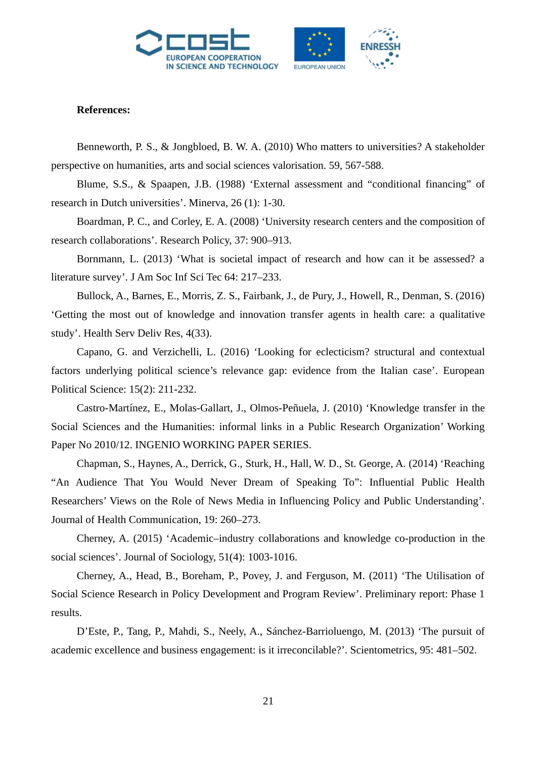



#### **References:**

Benneworth, P. S., & Jongbloed, B. W. A. (2010) Who matters to universities? A stakeholder perspective on humanities, arts and social sciences valorisation. 59, 567-588.

Blume, S.S., & Spaapen, J.B. (1988) 'External assessment and "conditional financing" of research in Dutch universities'. Minerva, 26 (1): 1-30.

Boardman, P. C., and Corley, E. A. (2008) 'University research centers and the composition of research collaborations'. Research Policy, 37: 900–913.

Bornmann, L. (2013) 'What is societal impact of research and how can it be assessed? a literature survey'. J Am Soc Inf Sci Tec 64: 217–233.

Bullock, A., Barnes, E., Morris, Z. S., Fairbank, J., de Pury, J., Howell, R., Denman, S. (2016) 'Getting the most out of knowledge and innovation transfer agents in health care: a qualitative study'. Health Serv Deliv Res, 4(33).

Capano, G. and Verzichelli, L. (2016) 'Looking for eclecticism? structural and contextual factors underlying political science's relevance gap: evidence from the Italian case'. European Political Science: 15(2): 211-232.

Castro-Martínez, E., Molas-Gallart, J., Olmos-Peñuela, J. (2010) 'Knowledge transfer in the Social Sciences and the Humanities: informal links in a Public Research Organization' Working Paper No 2010/12. INGENIO WORKING PAPER SERIES.

Chapman, S., Haynes, A., Derrick, G., Sturk, H., Hall, W. D., St. George, A. (2014) 'Reaching "An Audience That You Would Never Dream of Speaking To": Influential Public Health Researchers' Views on the Role of News Media in Influencing Policy and Public Understanding'. Journal of Health Communication, 19: 260–273.

Cherney, A. (2015) 'Academic–industry collaborations and knowledge co-production in the social sciences'. Journal of Sociology, 51(4): 1003-1016.

Cherney, A., Head, B., Boreham, P., Povey, J. and Ferguson, M. (2011) 'The Utilisation of Social Science Research in Policy Development and Program Review'. Preliminary report: Phase 1 results.

D'Este, P., Tang, P., Mahdi, S., Neely, A., Sánchez-Barrioluengo, M. (2013) 'The pursuit of academic excellence and business engagement: is it irreconcilable?'. Scientometrics, 95: 481–502.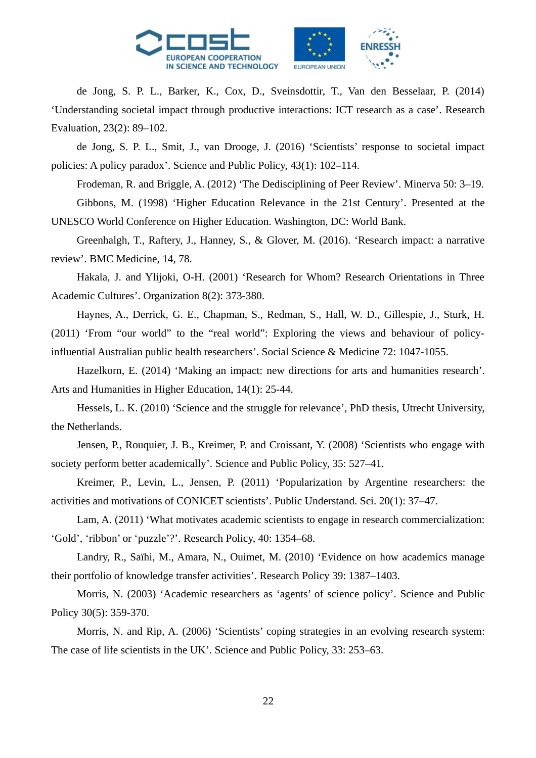

de Jong, S. P. L., Barker, K., Cox, D., Sveinsdottir, T., Van den Besselaar, P. (2014) 'Understanding societal impact through productive interactions: ICT research as a case'. Research Evaluation, 23(2): 89–102.

de Jong, S. P. L., Smit, J., van Drooge, J. (2016) 'Scientists' response to societal impact policies: A policy paradox'. Science and Public Policy, 43(1): 102–114.

Frodeman, R. and Briggle, A. (2012) 'The Dedisciplining of Peer Review'. Minerva 50: 3–19. Gibbons, M. (1998) 'Higher Education Relevance in the 21st Century'. Presented at the UNESCO World Conference on Higher Education. Washington, DC: World Bank.

Greenhalgh, T., Raftery, J., Hanney, S., & Glover, M. (2016). 'Research impact: a narrative review'. BMC Medicine, 14, 78.

Hakala, J. and Ylijoki, O-H. (2001) 'Research for Whom? Research Orientations in Three Academic Cultures'. Organization 8(2): 373-380.

Haynes, A., Derrick, G. E., Chapman, S., Redman, S., Hall, W. D., Gillespie, J., Sturk, H. (2011) 'From "our world" to the "real world": Exploring the views and behaviour of policyinfluential Australian public health researchers'. Social Science & Medicine 72: 1047-1055.

Hazelkorn, E. (2014) 'Making an impact: new directions for arts and humanities research'. Arts and Humanities in Higher Education, 14(1): 25-44.

Hessels, L. K. (2010) 'Science and the struggle for relevance', PhD thesis, Utrecht University, the Netherlands.

Jensen, P., Rouquier, J. B., Kreimer, P. and Croissant, Y. (2008) 'Scientists who engage with society perform better academically'. Science and Public Policy, 35: 527–41.

Kreimer, P., Levin, L., Jensen, P. (2011) 'Popularization by Argentine researchers: the activities and motivations of CONICET scientists'. Public Understand. Sci. 20(1): 37–47.

Lam, A. (2011) 'What motivates academic scientists to engage in research commercialization: 'Gold', 'ribbon' or 'puzzle'?'. Research Policy, 40: 1354–68.

Landry, R., Saïhi, M., Amara, N., Ouimet, M. (2010) 'Evidence on how academics manage their portfolio of knowledge transfer activities'. Research Policy 39: 1387–1403.

Morris, N. (2003) 'Academic researchers as 'agents' of science policy'. Science and Public Policy 30(5): 359-370.

Morris, N. and Rip, A. (2006) 'Scientists' coping strategies in an evolving research system: The case of life scientists in the UK'. Science and Public Policy, 33: 253–63.